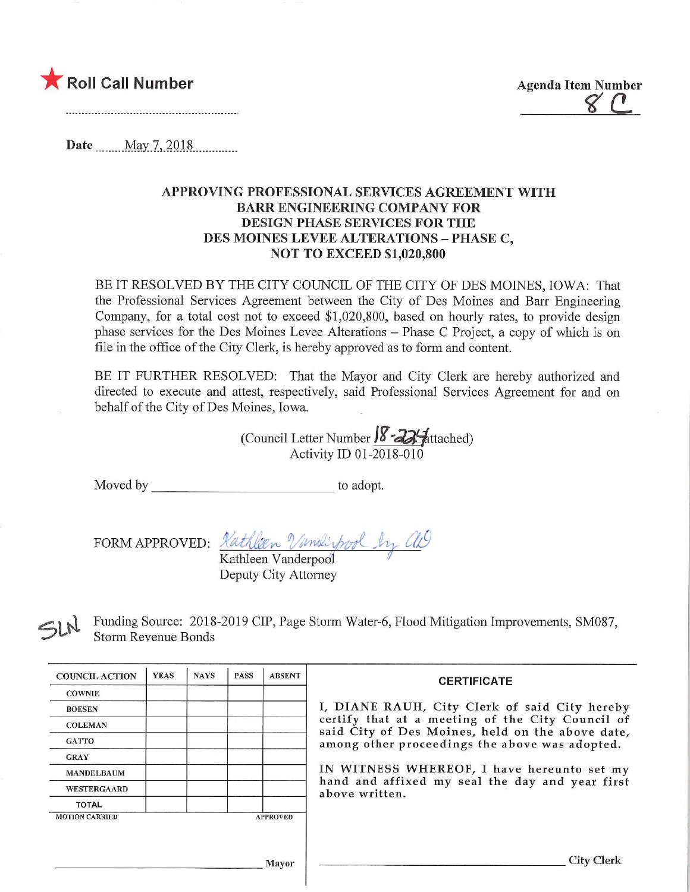

Roll Call Number  $\begin{array}{cc}\text{Agenda Item Number} \ {\small \begin{array}{cc} \text{6.6}\end{array}} \end{array}}$ 

Date .May.7>2Q1.8

## APPROVING PROFESSIONAL SERVICES AGREEMENT WITH BARR ENGINEERING COMPANY FOR DESIGN PHASE SERVICES FOR THE DES MOINES LEVEE ALTERATIONS - PHASE C, NOT TO EXCEED \$1,020,800

BE IT RESOLVED BY THE CITY COUNCIL OF THE CITY OF DES MOINES, IOWA: That the Professional Services Agreement between the City of Des Moines and Barr Engineering Company, for a total cost not to exceed \$1,020,800, based on hourly rates, to provide design phase services for the Des Moines Levee Alterations - Phase C Project, a copy of which is on file in the office of the City Clerk, is hereby approved as to form and content.

BE IT FURTHER RESOLVED: That the Mayor and City Clerk are hereby authorized and directed to execute and attest, respectively, said Professional Services Agreement for and on behalf of the City of Des Moines, Iowa.

(Council Letter Number  $\sqrt{8} - 22$  attached) Activity ID 01-2018-010

Moved by to adopt.

FORM APPROVED:

Kathleen Vanderpool

Deputy City Attorney

Funding Source: 2018-2019 CIP, Page Storm Water-6, Flood Mitigation Improvements, SM087, Storm Revenue Bonds

| <b>COUNCIL ACTION</b> | <b>YEAS</b> | <b>NAYS</b> | <b>PASS</b> | <b>ABSENT</b>   | <b>CERTIFICATE</b><br>I, DIANE RAUH, City Clerk of said City hereby<br>certify that at a meeting of the City Council of<br>said City of Des Moines, held on the above date,<br>among other proceedings the above was adopted. |
|-----------------------|-------------|-------------|-------------|-----------------|-------------------------------------------------------------------------------------------------------------------------------------------------------------------------------------------------------------------------------|
| <b>COWNIE</b>         |             |             |             |                 |                                                                                                                                                                                                                               |
| <b>BOESEN</b>         |             |             |             |                 |                                                                                                                                                                                                                               |
| <b>COLEMAN</b>        |             |             |             |                 |                                                                                                                                                                                                                               |
| <b>GATTO</b>          |             |             |             |                 |                                                                                                                                                                                                                               |
| <b>GRAY</b>           |             |             |             |                 |                                                                                                                                                                                                                               |
| <b>MANDELBAUM</b>     |             |             |             |                 | IN WITNESS WHEREOF, I have hereunto set my<br>hand and affixed my seal the day and year first<br>above written.                                                                                                               |
| <b>WESTERGAARD</b>    |             |             |             |                 |                                                                                                                                                                                                                               |
| <b>TOTAL</b>          |             |             |             |                 |                                                                                                                                                                                                                               |
| <b>MOTION CARRIED</b> |             |             |             | <b>APPROVED</b> |                                                                                                                                                                                                                               |
|                       |             |             |             |                 |                                                                                                                                                                                                                               |
|                       |             |             |             |                 |                                                                                                                                                                                                                               |
| Mayor                 |             |             |             |                 | <b>City Clerk</b>                                                                                                                                                                                                             |